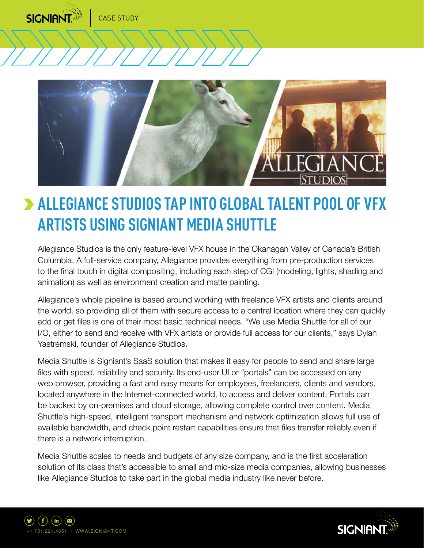



# **ALLEGIANCE STUDIOS TAP INTO GLOBAL TALENT POOL OF VFX ARTISTS USING SIGNIANT MEDIA SHUTTLE**

Allegiance Studios is the only feature-level VFX house in the Okanagan Valley of Canada's British Columbia. A full-service company, Allegiance provides everything from pre-production services to the final touch in digital compositing, including each step of CGI (modeling, lights, shading and animation) as well as environment creation and matte painting.

Allegiance's whole pipeline is based around working with freelance VFX artists and clients around the world, so providing all of them with secure access to a central location where they can quickly add or get files is one of their most basic technical needs. "We use Media Shuttle for all of our I/O, either to send and receive with VFX artists or provide full access for our clients," says Dylan Yastremski, founder of Allegiance Studios.

Media Shuttle is Signiant's SaaS solution that makes it easy for people to send and share large files with speed, reliability and security. Its end-user UI or "portals" can be accessed on any web browser, providing a fast and easy means for employees, freelancers, clients and vendors, located anywhere in the Internet-connected world, to access and deliver content. Portals can be backed by on-premises and cloud storage, allowing complete control over content. Media Shuttle's high-speed, intelligent transport mechanism and network optimization allows full use of available bandwidth, and check point restart capabilities ensure that files transfer reliably even if there is a network interruption.

Media Shuttle scales to needs and budgets of any size company, and is the first acceleration solution of its class that's accessible to small and mid-size media companies, allowing businesses like Allegiance Studios to take part in the global media industry like never before.



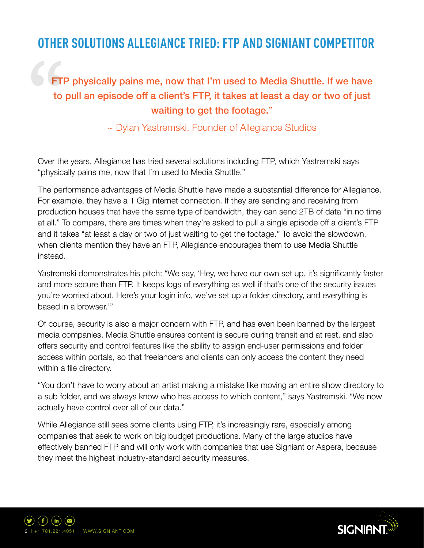## **OTHER SOLUTIONS ALLEGIANCE TRIED: FTP AND SIGNIANT COMPETITOR**

### FTP physically pains me, now that I'm used to Media Shuttle. If we have to pull an episode off a client's FTP, it takes at least a day or two of just waiting to get the footage."

~ Dylan Yastremski, Founder of Allegiance Studios

Over the years, Allegiance has tried several solutions including FTP, which Yastremski says "physically pains me, now that I'm used to Media Shuttle."

The performance advantages of Media Shuttle have made a substantial difference for Allegiance. For example, they have a 1 Gig internet connection. If they are sending and receiving from production houses that have the same type of bandwidth, they can send 2TB of data "in no time at all." To compare, there are times when they're asked to pull a single episode off a client's FTP and it takes "at least a day or two of just waiting to get the footage." To avoid the slowdown, when clients mention they have an FTP, Allegiance encourages them to use Media Shuttle instead.

Yastremski demonstrates his pitch: "We say, 'Hey, we have our own set up, it's significantly faster and more secure than FTP. It keeps logs of everything as well if that's one of the security issues you're worried about. Here's your login info, we've set up a folder directory, and everything is based in a browser.'"

Of course, security is also a major concern with FTP, and has even been banned by the largest media companies. Media Shuttle ensures content is secure during transit and at rest, and also offers security and control features like the ability to assign end-user permissions and folder access within portals, so that freelancers and clients can only access the content they need within a file directory.

"You don't have to worry about an artist making a mistake like moving an entire show directory to a sub folder, and we always know who has access to which content," says Yastremski. "We now actually have control over all of our data."

While Allegiance still sees some clients using FTP, it's increasingly rare, especially among companies that seek to work on big budget productions. Many of the large studios have effectively banned FTP and will only work with companies that use Signiant or Aspera, because they meet the highest industry-standard security measures.